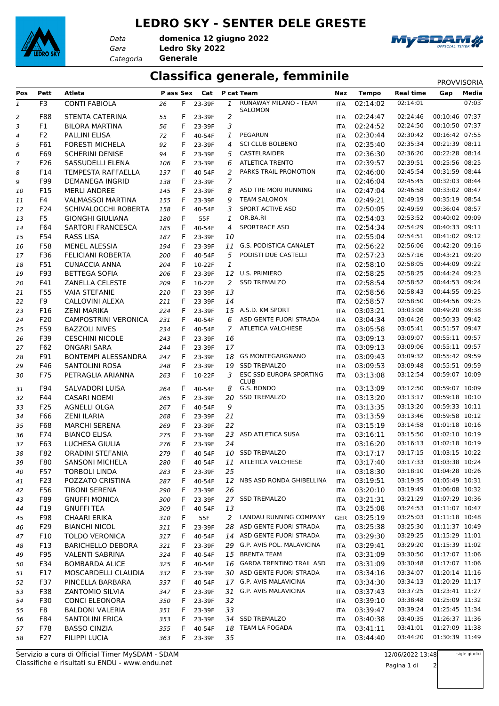## **LEDRO SKY - SENTER DELE GRESTE**



*Data*

*Gara* **Ledro Sky 2022** *Categoria* **Generale domenica 12 giugno 2022**



## **Classifica generale, femminile** PROVVISORIA

| Pos          | Pett           | <b>Atleta</b>                                       | P ass Sex |    | Cat              |                | P cat Team                     | Naz                      | <b>Tempo</b>         | Real time                 | Gap            | Media |
|--------------|----------------|-----------------------------------------------------|-----------|----|------------------|----------------|--------------------------------|--------------------------|----------------------|---------------------------|----------------|-------|
| $\mathbf{1}$ | F <sub>3</sub> | <b>CONTI FABIOLA</b>                                | 26        | F. | 23-39F           | 1              | RUNAWAY MILANO - TEAM          | <b>ITA</b>               | 02:14:02             | 02:14:01                  |                | 07:03 |
|              | F88            | <b>STENTA CATERINA</b>                              |           | F  |                  | $\overline{2}$ | SALOMON                        |                          | 02:24:47             | 02:24:46                  | 00:10:46 07:37 |       |
| 2<br>3       | F1             | <b>BILORA MARTINA</b>                               | 55<br>56  | F  | 23-39F<br>23-39F | 3              |                                | <b>ITA</b><br><b>ITA</b> | 02:24:52             | 02:24:50                  | 00:10:50 07:37 |       |
| 4            | F <sub>2</sub> | <b>PALLINI ELISA</b>                                | 72        | F  | 40-54F           | $\mathbf{1}$   | <b>PEGARUN</b>                 | <b>ITA</b>               | 02:30:44             | 02:30:42                  | 00:16:42 07:55 |       |
| 5            | F61            | <b>FORESTI MICHELA</b>                              | 92        | F  | 23-39F           | 4              | <b>SCI CLUB BOLBENO</b>        | <b>ITA</b>               | 02:35:40             | 02:35:34                  | 00:21:39 08:11 |       |
| 6            | F69            | <b>SCHERINI DENISE</b>                              | 94        | F  | 23-39F           | 5              | CASTELRAIDER                   | <b>ITA</b>               | 02:36:30             | 02:36:20                  | 00:22:28 08:14 |       |
| 7            | F26            | SASSUDELLI ELENA                                    | 106       | F  | 23-39F           | 6              | <b>ATLETICA TRENTO</b>         | <b>ITA</b>               | 02:39:57             | 02:39:51                  | 00:25:56 08:25 |       |
| 8            | F14            | TEMPESTA RAFFAELLA                                  | 137       | F  | 40-54F           | 2              | PARKS TRAIL PROMOTION          | <b>ITA</b>               | 02:46:00             | 02:45:54                  | 00:31:59 08:44 |       |
| 9            | F99            | <b>DEMANEGA INGRID</b>                              | 138       | F  | 23-39F           | $\overline{7}$ |                                | <b>ITA</b>               | 02:46:04             | 02:45:45                  | 00:32:03 08:44 |       |
| 10           | F15            | <b>MERLI ANDREE</b>                                 | 145       | F  | 23-39F           | 8              | ASD TRE MORI RUNNING           | <b>ITA</b>               | 02:47:04             | 02:46:58                  | 00:33:02 08:47 |       |
| 11           | F4             | <b>VALMASSOI MARTINA</b>                            | 155       | F  | 23-39F           | 9              | <b>TEAM SALOMON</b>            | <b>ITA</b>               | 02:49:21             | 02:49:19                  | 00:35:19 08:54 |       |
| 12           | F24            | SCHIVALOCCHI ROBERTA                                | 158       | F  | 40-54F           | 3              | SPORT ACTIVE ASD               | <b>ITA</b>               | 02:50:05             | 02:49:59                  | 00:36:04 08:57 |       |
| 13           | F <sub>5</sub> | <b>GIONGHI GIULIANA</b>                             | 180       | F  | 55F              | 1              | OR.BA.RI                       | <b>ITA</b>               | 02:54:03             | 02:53:52                  | 00:40:02 09:09 |       |
| 14           | F64            | <b>SARTORI FRANCESCA</b>                            | 185       | F  | 40-54F           | 4              | SPORTRACE ASD                  | <b>ITA</b>               | 02:54:34             | 02:54:29                  | 00:40:33 09:11 |       |
| 15           | F54            | <b>RASS LISA</b>                                    | 187       | F  | 23-39F           | 10             |                                | <b>ITA</b>               | 02:55:04             | 02:54:51                  | 00:41:02 09:12 |       |
| 16           | F58            | <b>MENEL ALESSIA</b>                                | 194       | F  | 23-39F           | 11             | <b>G.S. PODISTICA CANALET</b>  | <b>ITA</b>               | 02:56:22             | 02:56:06                  | 00:42:20 09:16 |       |
| 17           | F36            | <b>FELICIANI ROBERTA</b>                            | 200       | F  | 40-54F           | 5              | PODISTI DUE CASTELLI           | <b>ITA</b>               | 02:57:23             | 02:57:16                  | 00:43:21 09:20 |       |
| 18           | F51            | <b>CUNACCIA ANNA</b>                                | 204       | F  | 10-22F           | 1              |                                | <b>ITA</b>               | 02:58:10             | 02:58:05                  | 00:44:09 09:22 |       |
| 19           | F93            | <b>BETTEGA SOFIA</b>                                | 206       | F  | 23-39F           |                | 12 U.S. PRIMIERO               | <b>ITA</b>               | 02:58:25             | 02:58:25                  | 00:44:24 09:23 |       |
| 20           | F41            | ZANELLA CELESTE                                     | 209       | F  | 10-22F           | 2              | <b>SSD TREMALZO</b>            | <b>ITA</b>               | 02:58:54             | 02:58:52                  | 00:44:53 09:24 |       |
| 21           | F55            | <b>VAIA STEFANIE</b>                                | 210       | F  | 23-39F           | 13             |                                | <b>ITA</b>               | 02:58:56             | 02:58:43                  | 00:44:55 09:25 |       |
| 22           | F9             | CALLOVINI ALEXA                                     | 211       | F  | 23-39F           | 14             |                                | <b>ITA</b>               | 02:58:57             | 02:58:50                  | 00:44:56 09:25 |       |
| 23           | F16            | <b>ZENI MARIKA</b>                                  | 224       | F  | 23-39F           |                | 15 A.S.D. KM SPORT             | <b>ITA</b>               | 03:03:21             | 03:03:08                  | 00:49:20 09:38 |       |
|              | F20            | <b>CAMPOSTRINI VERONICA</b>                         |           | F  | 40-54F           | 6              | ASD GENTE FUORI STRADA         | <b>ITA</b>               | 03:04:34             | 03:04:26                  | 00:50:33 09:42 |       |
| 24           | F59            | <b>BAZZOLI NIVES</b>                                | 231       | F  | 40-54F           | $\overline{7}$ | ATLETICA VALCHIESE             |                          | 03:05:58             | 03:05:41                  | 00:51:57 09:47 |       |
| 25           | F39            | <b>CESCHINI NICOLE</b>                              | 234       | F  |                  | 16             |                                | <b>ITA</b>               | 03:09:13             | 03:09:07                  | 00:55:11 09:57 |       |
| 26           | F62            | <b>ONGARI SARA</b>                                  | 243       | F  | 23-39F           | 17             |                                | <b>ITA</b>               | 03:09:13             | 03:09:06                  | 00:55:11 09:57 |       |
| 27           |                |                                                     | 244       |    | 23-39F           |                | <b>GS MONTEGARGNANO</b>        | <b>ITA</b>               |                      | 03:09:32                  | 00:55:42 09:59 |       |
| 28           | F91<br>F46     | <b>BONTEMPI ALESSANDRA</b><br><b>SANTOLINI ROSA</b> | 247       | F  | 23-39F           | 18             | <b>SSD TREMALZO</b>            | <b>ITA</b>               | 03:09:43<br>03:09:53 | 03:09:48                  | 00:55:51 09:59 |       |
| 29           |                |                                                     | 248       | F  | 23-39F           | 19             | <b>ESC SSD EUROPA SPORTING</b> | <b>ITA</b>               |                      | 03:12:54                  | 00:59:07 10:09 |       |
| 30           | F75            | PETRAGLIA ARIANNA                                   | 263       | F  | 10-22F           | 3              | <b>CLUB</b>                    | <b>ITA</b>               | 03:13:08             |                           |                |       |
| 31           | F94            | SALVADORI LUISA                                     | 264       | F  | 40-54F           | 8              | G.S. BONDO                     | <b>ITA</b>               | 03:13:09             | 03:12:50                  | 00:59:07 10:09 |       |
| 32           | F44            | <b>CASARI NOEMI</b>                                 | 265       | F  | 23-39F           | 20             | <b>SSD TREMALZO</b>            | <b>ITA</b>               | 03:13:20             | 03:13:17                  | 00:59:18 10:10 |       |
| 33           | F25            | <b>AGNELLI OLGA</b>                                 | 267       | F  | 40-54F           | 9              |                                | <b>ITA</b>               | 03:13:35             | 03:13:20                  | 00:59:33 10:11 |       |
| 34           | F66            | <b>ZENI ILARIA</b>                                  | 268       | F  | 23-39F           | 21             |                                | <b>ITA</b>               | 03:13:59             | 03:13:46                  | 00:59:58 10:12 |       |
| 35           | F68            | <b>MARCHI SERENA</b>                                | 269       | F  | 23-39F           | 22             |                                | <b>ITA</b>               | 03:15:19             | 03:14:58                  | 01:01:18 10:16 |       |
| 36           | F74            | <b>BIANCO ELISA</b>                                 | 275       | F  | 23-39F           |                | 23 ASD ATLETICA SUSA           | <b>ITA</b>               | 03:16:11             | 03:15:50                  | 01:02:10 10:19 |       |
| 37           | F63            | LUCHESA GIULIA                                      | 276       | F  | 23-39F           | 24             |                                | <b>ITA</b>               | 03:16:20             | 03:16:13                  | 01:02:18 10:19 |       |
| 38           | F82            | <b>ORADINI STEFANIA</b>                             | 279       | F  | 40-54F           |                | 10 SSD TREMALZO                | <b>ITA</b>               | 03:17:17             | 03:17:15                  | 01:03:15 10:22 |       |
| 39           | F80            | SANSONI MICHELA                                     | 280       |    | F 40-54F         |                | 11 ATLETICA VALCHIESE          |                          | ITA 03:17:40         | 03:17:33  01:03:38  10:24 |                |       |
| 40           | F57            | <b>TORBOLI LINDA</b>                                | 283       | F. | 23-39F           | 25             |                                | ITA                      | 03:18:30             | 03:18:10                  | 01:04:28 10:26 |       |
| 41           | F23            | POZZATO CRISTINA                                    | 287       | F. | 40-54F           |                | 12 NBS ASD RONDA GHIBELLINA    | <b>ITA</b>               | 03:19:51             | 03:19:35                  | 01:05:49 10:31 |       |
| 42           | F56            | <b>TIBONI SERENA</b>                                | 290       | F  | 23-39F           | 26             |                                | ITA                      | 03:20:10             | 03:19:49                  | 01:06:08 10:32 |       |
| 43           | F89            | <b>GNUFFI MONICA</b>                                | 300       | F  | 23-39F           |                | 27 SSD TREMALZO                | ITA                      | 03:21:31             | 03:21:29                  | 01:07:29 10:36 |       |
| 44           | F19            | <b>GNUFFI TEA</b>                                   | 309       | F  | 40-54F           | 13             |                                | ITA                      | 03:25:08             | 03:24:53                  | 01:11:07 10:47 |       |
| 45           | F98            | <b>CHAARI ERIKA</b>                                 | 310       | F  | 55F              | 2              | LANDAU RUNNING COMPANY         |                          | GER 03:25:19         | 03:25:03                  | 01:11:18 10:48 |       |
| 46           | F29            | <b>BIANCHI NICOL</b>                                | 311       | F. | 23-39F           |                | 28 ASD GENTE FUORI STRADA      | ITA                      | 03:25:38             | 03:25:30                  | 01:11:37 10:49 |       |
| 47           | F10            | <b>TOLDO VERONICA</b>                               | 317       | F  | 40-54F           |                | 14 ASD GENTE FUORI STRADA      | ITA                      | 03:29:30             | 03:29:25                  | 01:15:29 11:01 |       |
| 48           | F13            | <b>BARICHELLO DEBORA</b>                            | 321       | F  | 23-39F           |                | 29 G.P. AVIS POL. MALAVICINA   | ITA                      | 03:29:41             | 03:29:20                  | 01:15:39 11:02 |       |
| 49           | F95            | <b>VALENTI SABRINA</b>                              | 324       | F  | 40-54F           |                | 15 BRENTA TEAM                 | ITA                      | 03:31:09             | 03:30:50                  | 01:17:07 11:06 |       |
| 50           | F34            | <b>BOMBARDA ALICE</b>                               | 325       | F  | 40-54F           |                | 16 GARDA TRENTINO TRAIL ASD    | ITA                      | 03:31:09             | 03:30:48                  | 01:17:07 11:06 |       |
| 51           | F17            | MOSCARDELLI CLAUDIA                                 | 332       | F  | 23-39F           |                | 30 ASD GENTE FUORI STRADA      | ITA                      | 03:34:16             | 03:34:07                  | 01:20:14 11:16 |       |
| 52           | F37            | PINCELLA BARBARA                                    | 337       | F. | 40-54F           |                | 17 G.P. AVIS MALAVICINA        | ITA                      | 03:34:30             | 03:34:13                  | 01:20:29 11:17 |       |
| 53           | F38            | <b>ZANTOMIO SILVIA</b>                              | 347       | F  | 23-39F           |                | 31 G.P. AVIS MALAVICINA        | ITA                      | 03:37:43             | 03:37:25                  | 01:23:41 11:27 |       |
| 54           | F30            | <b>CONCI ELEONORA</b>                               | 350       | F  | 23-39F           | 32             |                                | ITA.                     | 03:39:10             | 03:38:48                  | 01:25:09 11:32 |       |
| 55           | F8             | <b>BALDONI VALERIA</b>                              | 351       | F  | 23-39F           | 33             |                                | ITA                      | 03:39:47             | 03:39:24                  | 01:25:45 11:34 |       |
| 56           | F84            | <b>SANTOLINI ERICA</b>                              | 353       | F  | 23-39F           |                | 34 SSD TREMALZO                | <b>ITA</b>               | 03:40:38             | 03:40:35                  | 01:26:37 11:36 |       |
| 57           | F78            | <b>BASSO CINZIA</b>                                 | 355       | F. | 40-54F           |                | 18 TEAM LA FOGADA              | ITA                      | 03:41:11             | 03:41:01                  | 01:27:09 11:38 |       |
| 58           | F27            | <b>FILIPPI LUCIA</b>                                | 363       | F. | 23-39F           | 35             |                                | <b>ITA</b>               | 03:44:40             | 03:44:20                  | 01:30:39 11:49 |       |
|              |                |                                                     |           |    |                  |                |                                |                          |                      |                           |                |       |

Classifiche e risultati su ENDU - www.endu.net Servizio a cura di Official Timer MySDAM - SDAM